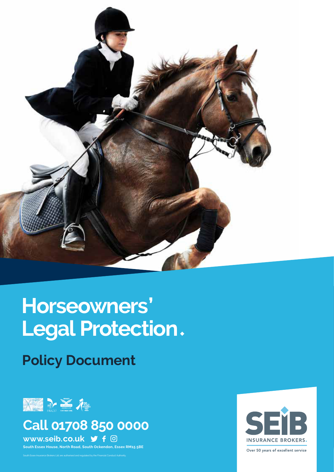

# **Horseowners'** Legal Protection.

**Policy Document**



# **Call 01708 850 0000**

**www.seib.co.uk**

K7496 ARAG Horseowners legal protection - Jan 2021 1 **South Essex House, North Road, South Ockendon, Essex RM15 5BE**

South Essex Insurance Brokers Ltd. are authorised and regulated by the Financial Conduct Authority.



Over 50 years of excellent service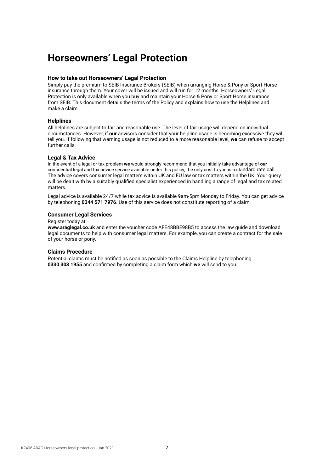# **Horseowners' Legal Protection**

#### **How to take out Horseowners' Legal Protection**

Simply pay the premium to SEIB Insurance Brokers (SEIB) when arranging Horse & Pony or Sport Horse insurance through them. Your cover will be issued and will run for 12 months. Horseowners' Legal Protection is only available when you buy and maintain your Horse & Pony or Sport Horse insurance from SEIB. This document details the terms of the Policy and explains how to use the Helplines and make a claim.

#### **Helplines**

All helplines are subject to fair and reasonable use. The level of fair usage will depend on individual circumstances. However, if **our** advisors consider that your helpline usage is becoming excessive they will tell you. If following that warning usage is not reduced to a more reasonable level, **we** can refuse to accept further calls.

#### **Legal & Tax Advice**

In the event of a legal or tax problem **we** would strongly recommend that you initially take advantage of **our** confidential legal and tax advice service available under this policy; the only cost to you is a standard rate call. The advice covers consumer legal matters within UK and EU law or tax matters within the UK. Your query will be dealt with by a suitably qualified specialist experienced in handling a range of legal and tax related matters.

Legal advice is available 24/7 while tax advice is available 9am-5pm Monday to Friday. You can get advice by telephoning **0344 571 7976**. Use of this service does not constitute reporting of a claim.

#### **Consumer Legal Services**

Register today at:

**www.araglegal.co.uk** and enter the voucher code AFE48BBE98B5 to access the law guide and download legal documents to help with consumer legal matters. For example, you can create a contract for the sale of your horse or pony.

#### **Claims Procedure**

Potential claims must be notified as soon as possible to the Claims Helpline by telephoning **0330 303 1955** and confirmed by completing a claim form which **we** will send to you.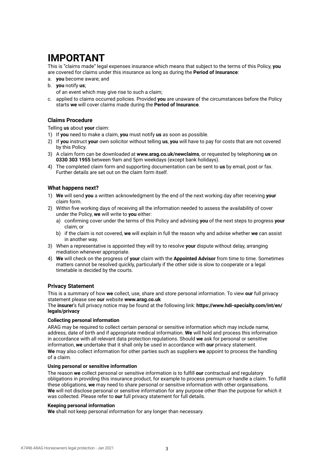# **IMPORTANT**

This is "claims made" legal expenses insurance which means that subject to the terms of this Policy, **you** are covered for claims under this insurance as long as during the **Period of Insurance**:

- a. **you** become aware; and
- b. **you** notify **us**;

of an event which may give rise to such a claim;

c. applied to claims occurred policies. Provided **you** are unaware of the circumstances before the Policy starts **we** will cover claims made during the **Period of Insurance**.

#### **Claims Procedure**

Telling **us** about **your** claim:

- 1) If **you** need to make a claim, **you** must notify **us** as soon as possible.
- 2) If **you** instruct **your** own solicitor without telling **us**, **you** will have to pay for costs that are not covered by this Policy.
- 3) A claim form can be downloaded at **www.arag.co.uk/newclaims**, or requested by telephoning **us** on **0330 303 1955** between 9am and 5pm weekdays (except bank holidays).
- 4) The completed claim form and supporting documentation can be sent to **us** by email, post or fax. Further details are set out on the claim form itself.

#### **What happens next?**

- 1) **We** will send **you** a written acknowledgment by the end of the next working day after receiving **your** claim form.
- 2) Within five working days of receiving all the information needed to assess the availability of cover under the Policy, **we** will write to **you** either:
	- a) confirming cover under the terms of this Policy and advising **you** of the next steps to progress **your** claim; or
	- b) if the claim is not covered, **we** will explain in full the reason why and advise whether **we** can assist in another way.
- 3) When a representative is appointed they will try to resolve **your** dispute without delay, arranging mediation whenever appropriate.
- 4) **We** will check on the progress of **your** claim with the **Appointed Advisor** from time to time. Sometimes matters cannot be resolved quickly, particularly if the other side is slow to cooperate or a legal timetable is decided by the courts.

#### **Privacy Statement**

This is a summary of how **we** collect, use, share and store personal information. To view **our** full privacy statement please see **our** website **www.arag.co.uk**

The **insurer**'s full privacy notice may be found at the following link: **https://www.hdi-specialty.com/int/en/ legals/privacy**

#### **Collecting personal information**

ARAG may be required to collect certain personal or sensitive information which may include name, address, date of birth and if appropriate medical information. **We** will hold and process this information in accordance with all relevant data protection regulations. Should **we** ask for personal or sensitive information, **we** undertake that it shall only be used in accordance with **our** privacy statement. **We** may also collect information for other parties such as suppliers **we** appoint to process the handling of a claim.

#### **Using personal or sensitive information**

The reason **we** collect personal or sensitive information is to fulfill **our** contractual and regulatory obligations in providing this insurance product, for example to process premium or handle a claim. To fulfill these obligations, **we** may need to share personal or sensitive information with other organisations. **We** will not disclose personal or sensitive information for any purpose other than the purpose for which it was collected. Please refer to **our** full privacy statement for full details.

#### **Keeping personal information**

**We** shall not keep personal information for any longer than necessary.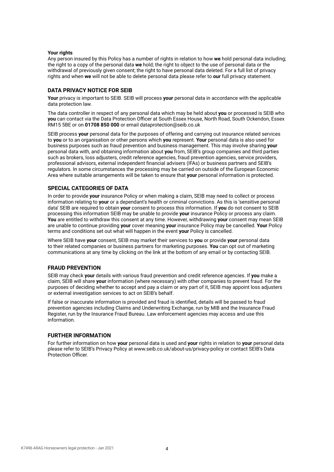#### **Your rights**

Any person insured by this Policy has a number of rights in relation to how **we** hold personal data including; the right to a copy of the personal data **we** hold; the right to object to the use of personal data or the withdrawal of previously given consent; the right to have personal data deleted. For a full list of privacy rights and when **we** will not be able to delete personal data please refer to **our** full privacy statement.

#### **DATA PRIVACY NOTICE FOR SEIB**

**Your** privacy is important to SEIB. SEIB will process **your** personal data in accordance with the applicable data protection law.

The data controller in respect of any personal data which may be held about **you** or processed is SEIB who **you** can contact via the Data Protection Officer at South Essex House, North Road, South Ockendon, Essex RM15 5BE or on **01708 850 000** or email dataprotection@seib.co.uk

SEIB process **your** personal data for the purposes of offering and carrying out insurance related services to **you** or to an organisation or other persons which **you** represent. **Your** personal data is also used for business purposes such as fraud prevention and business management. This may involve sharing **your** personal data with, and obtaining information about **you** from, SEIB's group companies and third parties such as brokers, loss adjusters, credit reference agencies, fraud prevention agencies, service providers, professional advisors, external independent financial advisers (IFAs) or business partners and SEIB's regulators. In some circumstances the processing may be carried on outside of the European Economic Area where suitable arrangements will be taken to ensure that **your** personal information is protected.

#### **SPECIAL CATEGORIES OF DATA**

In order to provide **your** insurance Policy or when making a claim, SEIB may need to collect or process information relating to **your** or a dependant's health or criminal convictions. As this is 'sensitive personal data' SEIB are required to obtain **your** consent to process this information. If **you** do not consent to SEIB processing this information SEIB may be unable to provide **your** insurance Policy or process any claim. **You** are entitled to withdraw this consent at any time. However, withdrawing **your** consent may mean SEIB are unable to continue providing **your** cover meaning **your** insurance Policy may be cancelled. **Your** Policy terms and conditions set out what will happen in the event **your** Policy is cancelled.

Where SEIB have **your** consent, SEIB may market their services to **you** or provide **your** personal data to their related companies or business partners for marketing purposes. **You** can opt out of marketing communications at any time by clicking on the link at the bottom of any email or by contacting SEIB.

#### **FRAUD PREVENTION**

SEIB may check **your** details with various fraud prevention and credit reference agencies. If **you** make a claim, SEIB will share **your** information (where necessary) with other companies to prevent fraud. For the purposes of deciding whether to accept and pay a claim or any part of it, SEIB may appoint loss adjusters or external investigation services to act on SEIB's behalf.

If false or inaccurate information is provided and fraud is identified, details will be passed to fraud prevention agencies including Claims and Underwriting Exchange, run by MIB and the Insurance Fraud Register, run by the Insurance Fraud Bureau. Law enforcement agencies may access and use this information.

#### **FURTHER INFORMATION**

For further information on how **your** personal data is used and **your** rights in relation to **your** personal data please refer to SEIB's Privacy Policy at www.seib.co.uk/about-us/privacy-policy or contact SEIB's Data Protection Officer.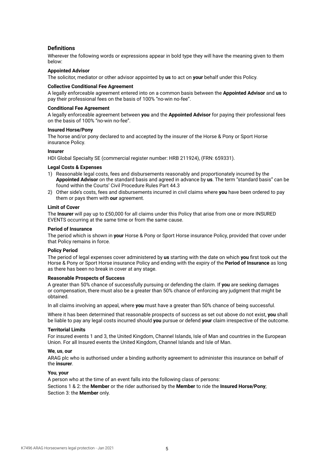#### **Definitions**

Wherever the following words or expressions appear in bold type they will have the meaning given to them below:

#### **Appointed Advisor**

The solicitor, mediator or other advisor appointed by **us** to act on **your** behalf under this Policy.

#### **Collective Conditional Fee Agreement**

A legally enforceable agreement entered into on a common basis between the **Appointed Advisor** and **us** to pay their professional fees on the basis of 100% "no-win no-fee".

#### **Conditional Fee Agreement**

A legally enforceable agreement between **you** and the **Appointed Advisor** for paying their professional fees on the basis of 100% "no-win no-fee".

#### **Insured Horse/Pony**

The horse and/or pony declared to and accepted by the insurer of the Horse & Pony or Sport Horse insurance Policy.

#### **Insurer**

HDI Global Specialty SE (commercial register number: HRB 211924), (FRN: 659331).

#### **Legal Costs & Expenses**

- 1) Reasonable legal costs, fees and disbursements reasonably and proportionately incurred by the **Appointed Advisor** on the standard basis and agreed in advance by **us**. The term "standard basis" can be found within the Courts' Civil Procedure Rules Part 44.3
- 2) Other side's costs, fees and disbursements incurred in civil claims where **you** have been ordered to pay them or pays them with **our** agreement.

#### **Limit of Cover**

The **Insurer** will pay up to £50,000 for all claims under this Policy that arise from one or more INSURED EVENTS occurring at the same time or from the same cause.

#### **Period of Insurance**

The period which is shown in **your** Horse & Pony or Sport Horse insurance Policy, provided that cover under that Policy remains in force.

#### **Policy Period**

The period of legal expenses cover administered by **us** starting with the date on which **you** first took out the Horse & Pony or Sport Horse insurance Policy and ending with the expiry of the **Period of Insurance** as long as there has been no break in cover at any stage.

#### **Reasonable Prospects of Success**

A greater than 50% chance of successfully pursuing or defending the claim. If **you** are seeking damages or compensation, there must also be a greater than 50% chance of enforcing any judgment that might be obtained.

In all claims involving an appeal, where **you** must have a greater than 50% chance of being successful.

Where it has been determined that reasonable prospects of success as set out above do not exist, **you** shall be liable to pay any legal costs incurred should **you** pursue or defend **your** claim irrespective of the outcome.

#### **Territorial Limits**

For insured events 1 and 3, the United Kingdom, Channel Islands, Isle of Man and countries in the European Union. For all Insured events the United Kingdom, Channel Islands and Isle of Man.

#### **We**, **us**, **our**

ARAG plc who is authorised under a binding authority agreement to administer this insurance on behalf of the **insurer**.

#### **You**, **your**

A person who at the time of an event falls into the following class of persons: Sections 1 & 2: the **Member** or the rider authorised by the **Member** to ride the **Insured Horse/Pony**; Section 3: the **Member** only.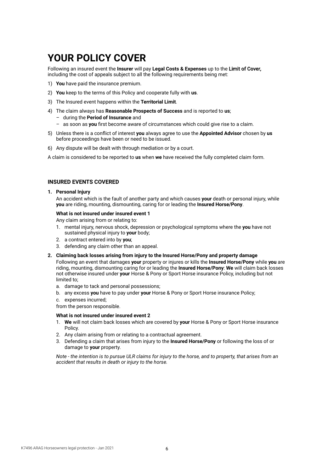# **YOUR POLICY COVER**

Following an insured event the **Insurer** will pay **Legal Costs & Expenses** up to the Limit of Cover, including the cost of appeals subject to all the following requirements being met:

- 1) **You** have paid the insurance premium.
- 2) **You** keep to the terms of this Policy and cooperate fully with **us**.
- 3) The Insured event happens within the **Territorial Limit**.
- 4) The claim always has **Reasonable Prospects of Success** and is reported to **us**; – during the **Period of Insurance** and
	- as soon as **you** first become aware of circumstances which could give rise to a claim.
- 5) Unless there is a conflict of interest **you** always agree to use the **Appointed Advisor** chosen by **us** before proceedings have been or need to be issued.
- 6) Any dispute will be dealt with through mediation or by a court.

A claim is considered to be reported to **us** when **we** have received the fully completed claim form.

#### **INSURED EVENTS COVERED**

#### **1. Personal Injury**

An accident which is the fault of another party and which causes **your** death or personal injury, while **you** are riding, mounting, dismounting, caring for or leading the **Insured Horse/Pony**.

#### **What is not insured under insured event 1**

Any claim arising from or relating to:

- 1. mental injury, nervous shock, depression or psychological symptoms where the **you** have not sustained physical injury to **your** body;
- 2. a contract entered into by **you**;
- 3. defending any claim other than an appeal.
- **2. Claiming back losses arising from injury to the Insured Horse/Pony and property damage**

Following an event that damages **your** property or injures or kills the **Insured Horse/Pony** while **you** are riding, mounting, dismounting caring for or leading the **Insured Horse/Pony**: **We** will claim back losses not otherwise insured under **your** Horse & Pony or Sport Horse insurance Policy, including but not limited to;

- a. damage to tack and personal possessions;
- b. any excess **you** have to pay under **your** Horse & Pony or Sport Horse insurance Policy;
- c. expenses incurred;

from the person responsible.

#### **What is not insured under insured event 2**

- 1. **We** will not claim back losses which are covered by **your** Horse & Pony or Sport Horse insurance Policy.
- 2. Any claim arising from or relating to a contractual agreement.
- 3. Defending a claim that arises from injury to the **Insured Horse/Pony** or following the loss of or damage to **your** property.

*Note - the intention is to pursue ULR claims for injury to the horse, and to property, that arises from an accident that results in death or injury to the horse.*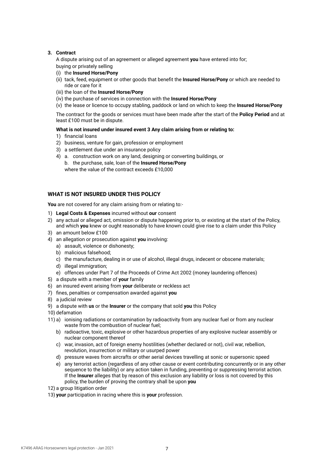#### **3. Contract**

 A dispute arising out of an agreement or alleged agreement **you** have entered into for; buying or privately selling

- (i) the **Insured Horse/Pony**
- (ii) tack, feed, equipment or other goods that benefit the **Insured Horse/Pony** or which are needed to ride or care for it
- (iii) the loan of the **Insured Horse/Pony**
- (iv) the purchase of services in connection with the **Insured Horse/Pony**
- (v) the lease or licence to occupy stabling, paddock or land on which to keep the **Insured Horse/Pony**

 The contract for the goods or services must have been made after the start of the **Policy Period** and at least £100 must be in dispute.

#### **What is not insured under insured event 3 Any claim arising from or relating to:**

- 1) financial loans
- 2) business, venture for gain, profession or employment
- 3) a settlement due under an insurance policy
- 4) a. construction work on any land, designing or converting buildings, or
	- b. the purchase, sale, loan of the **Insured Horse/Pony** where the value of the contract exceeds £10,000

#### **WHAT IS NOT INSURED UNDER THIS POLICY**

**You** are not covered for any claim arising from or relating to:-

- 1) **Legal Costs & Expenses** incurred without **our** consent
- 2) any actual or alleged act, omission or dispute happening prior to, or existing at the start of the Policy, and which **you** knew or ought reasonably to have known could give rise to a claim under this Policy
- 3) an amount below £100
- 4) an allegation or prosecution against **you** involving:
	- a) assault, violence or dishonesty;
	- b) malicious falsehood;
	- c) the manufacture, dealing in or use of alcohol, illegal drugs, indecent or obscene materials;
	- d) illegal immigration;
	- e) offences under Part 7 of the Proceeds of Crime Act 2002 (money laundering offences)
- 5) a dispute with a member of **your** family
- 6) an insured event arising from **your** deliberate or reckless act
- 7) fines, penalties or compensation awarded against **you**
- 8) a judicial review
- 9) a dispute with **us** or the **Insurer** or the company that sold **you** this Policy
- 10) defamation
- 11) a) ionising radiations or contamination by radioactivity from any nuclear fuel or from any nuclear waste from the combustion of nuclear fuel;
	- b) radioactive, toxic, explosive or other hazardous properties of any explosive nuclear assembly or nuclear component thereof
	- c) war, invasion, act of foreign enemy hostilities (whether declared or not), civil war, rebellion, revolution, insurrection or military or usurped power
	- d) pressure waves from aircrafts or other aerial devices travelling at sonic or supersonic speed
	- e) any terrorist action (regardless of any other cause or event contributing concurrently or in any other sequence to the liability) or any action taken in funding, preventing or suppressing terrorist action. If the **Insurer** alleges that by reason of this exclusion any liability or loss is not covered by this policy, the burden of proving the contrary shall be upon **you**
- 12) a group litigation order
- 13) **your** participation in racing where this is **your** profession.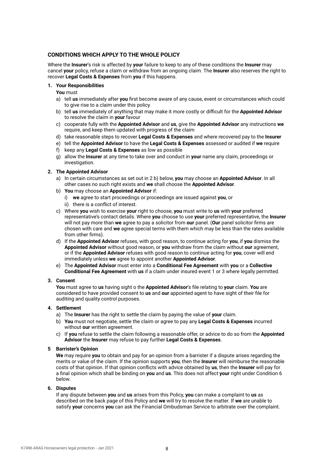#### **CONDITIONS WHICH APPLY TO THE WHOLE POLICY**

Where the **Insurer**'s risk is affected by **your** failure to keep to any of these conditions the **Insurer** may cancel **your** policy, refuse a claim or withdraw from an ongoing claim. The **Insurer** also reserves the right to recover **Legal Costs & Expenses** from **you** if this happens.

#### **1. Your Responsibilities**

**You** must

- a) tell **us** immediately after **you** first become aware of any cause, event or circumstances which could to give rise to a claim under this policy
- b) tell **us** immediately of anything that may make it more costly or difficult for the **Appointed Advisor** to resolve the claim in **your** favour
- c) cooperate fully with the **Appointed Advisor** and **us**, give the **Appointed Advisor** any instructions **we** require, and keep them updated with progress of the claim
- d) take reasonable steps to recover **Legal Costs & Expenses** and where recovered pay to the **Insurer**
- e) tell the **Appointed Advisor** to have the **Legal Costs & Expenses** assessed or audited if **we** require
- f) keep any **Legal Costs & Expenses** as low as possible
- g) allow the **Insurer** at any time to take over and conduct in **your** name any claim, proceedings or investigation.

#### **2. The Appointed Advisor**

- a) In certain circumstances as set out in 2 b) below, **you** may choose an **Appointed Advisor**. In all other cases no such right exists and **we** shall choose the **Appointed Advisor**.
- b) **You** may choose an **Appointed Advisor** if:
	- i) **we** agree to start proceedings or proceedings are issued against **you**, or
	- ii) there is a conflict of interest.
- c) Where **you** wish to exercise **your** right to choose, **you** must write to **us** with **your** preferred representative's contact details. Where **you** choose to use **your** preferred representative, the **Insurer** will not pay more than **we** agree to pay a solicitor from **our** panel. (**Our** panel solicitor firms are chosen with care and **we** agree special terms with them which may be less than the rates available from other firms).
- d) If the **Appointed Advisor** refuses, with good reason, to continue acting for **you**, if **you** dismiss the **Appointed Advisor** without good reason, or **you** withdraw from the claim without **our** agreement, or if the **Appointed Advisor** refuses with good reason to continue acting for **you**, cover will end immediately unless **we** agree to appoint another **Appointed Advisor**.
- e) The **Appointed Advisor** must enter into a **Conditional Fee Agreement** with **you** or a **Collective Conditional Fee Agreement** with **us** if a claim under insured event 1 or 3 where legally permitted.

#### **3. Consent**

 **You** must agree to **us** having sight o the **Appointed Advisor**'s file relating to **your** claim. **You** are considered to have provided consent to **us** and **our** appointed agent to have sight of their file for auditing and quality control purposes.

#### **4. Settlement**

- a) The **Insurer** has the right to settle the claim by paying the value of **your** claim.
- b) **You** must not negotiate, settle the claim or agree to pay any **Legal Costs & Expenses** incurred without **our** written agreement.
- c) If **you** refuse to settle the claim following a reasonable offer, or advice to do so from the **Appointed Advisor** the **Insurer** may refuse to pay further **Legal Costs & Expenses**.

#### **5 Barrister's Opinion**

 **We** may require **you** to obtain and pay for an opinion from a barrister if a dispute arises regarding the merits or value of the claim. If the opinion supports **you**, then the **Insurer** will reimburse the reasonable costs of that opinion. If that opinion conflicts with advice obtained by **us**, then the **Insurer** will pay for a final opinion which shall be binding on **you** and **us**. This does not affect **your** right under Condition 6 below.

#### **6. Disputes**

 If any dispute between **you** and **us** arises from this Policy, **you** can make a complaint to **us** as described on the back page of this Policy and **we** will try to resolve the matter. If **we** are unable to satisfy **your** concerns **you** can ask the Financial Ombudsman Service to arbitrate over the complaint.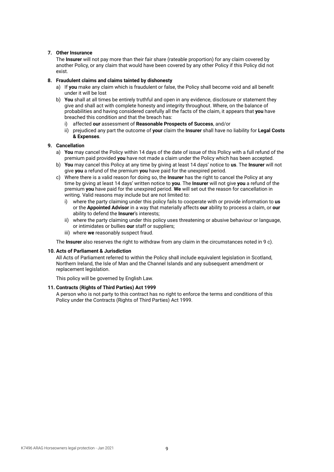#### **7. Other Insurance**

 The **Insurer** will not pay more than their fair share (rateable proportion) for any claim covered by another Policy, or any claim that would have been covered by any other Policy if this Policy did not exist.

#### **8. Fraudulent claims and claims tainted by dishonesty**

- a) If **you** make any claim which is fraudulent or false, the Policy shall become void and all benefit under it will be lost
- b) **You** shall at all times be entirely truthful and open in any evidence, disclosure or statement they give and shall act with complete honesty and integrity throughout. Where, on the balance of probabilities and having considered carefully all the facts of the claim, it appears that **you** have breached this condition and that the breach has:
	- i) affected **our** assessment of **Reasonable Prospects of Success**, and/or
	- ii) prejudiced any part the outcome of **your** claim the **Insurer** shall have no liability for **Legal Costs & Expenses**.

#### **9. Cancellation**

- a) **You** may cancel the Policy within 14 days of the date of issue of this Policy with a full refund of the premium paid provided **you** have not made a claim under the Policy which has been accepted.
- b) **You** may cancel this Policy at any time by giving at least 14 days' notice to **us**. The **Insurer** will not give **you** a refund of the premium **you** have paid for the unexpired period.
- c) Where there is a valid reason for doing so, the **Insurer** has the right to cancel the Policy at any time by giving at least 14 days' written notice to **you**. The **Insurer** will not give **you** a refund of the premium **you** have paid for the unexpired period. **We** will set out the reason for cancellation in writing. Valid reasons may include but are not limited to:
	- i) where the party claiming under this policy fails to cooperate with or provide information to **us** or the **Appointed Advisor** in a way that materially affects **our** ability to process a claim, or **our** ability to defend the **Insurer**'s interests;
	- ii) where the party claiming under this policy uses threatening or abusive behaviour or language, or intimidates or bullies **our** staff or suppliers;
	- iii) where **we** reasonably suspect fraud.

The **Insurer** also reserves the right to withdraw from any claim in the circumstances noted in 9 c).

#### **10. Acts of Parliament & Jurisdiction**

 All Acts of Parliament referred to within the Policy shall include equivalent legislation in Scotland, Northern Ireland, the Isle of Man and the Channel Islands and any subsequent amendment or replacement legislation.

This policy will be governed by English Law.

#### **11. Contracts (Rights of Third Parties) Act 1999**

 A person who is not party to this contract has no right to enforce the terms and conditions of this Policy under the Contracts (Rights of Third Parties) Act 1999.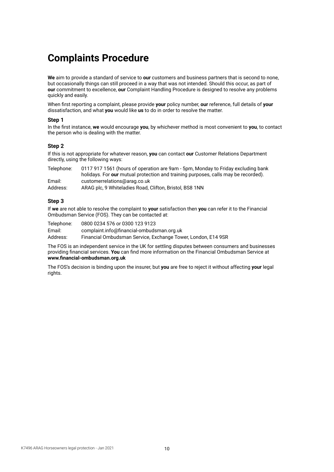### **Complaints Procedure**

**We** aim to provide a standard of service to **our** customers and business partners that is second to none, but occasionally things can still proceed in a way that was not intended. Should this occur, as part of **our** commitment to excellence, **our** Complaint Handling Procedure is designed to resolve any problems quickly and easily.

When first reporting a complaint, please provide **your** policy number, **our** reference, full details of **your** dissatisfaction, and what **you** would like **us** to do in order to resolve the matter.

#### **Step 1**

In the first instance, **we** would encourage **you**, by whichever method is most convenient to **you**, to contact the person who is dealing with the matter.

#### **Step 2**

If this is not appropriate for whatever reason, **you** can contact **our** Customer Relations Department directly, using the following ways:

| Telephone: | 0117 917 1561 (hours of operation are 9am - 5pm, Monday to Friday excluding bank   |
|------------|------------------------------------------------------------------------------------|
|            | holidays. For our mutual protection and training purposes, calls may be recorded). |
| Email:     | customerrelations@arag.co.uk                                                       |
| Address:   | ARAG plc, 9 Whiteladies Road, Clifton, Bristol, BS8 1NN                            |

#### **Step 3**

If **we** are not able to resolve the complaint to **your** satisfaction then **you** can refer it to the Financial Ombudsman Service (FOS). They can be contacted at:

Telephone: 0800 0234 576 or 0300 123 9123 Email: complaint.info@financial-ombudsman.org.uk Financial Ombudsman Service, Exchange Tower, London, E14 9SR

The FOS is an independent service in the UK for settling disputes between consumers and businesses providing financial services. **You** can find more information on the Financial Ombudsman Service at **www.financial-ombudsman.org.uk**

The FOS's decision is binding upon the insurer, but **you** are free to reject it without affecting **your** legal rights.